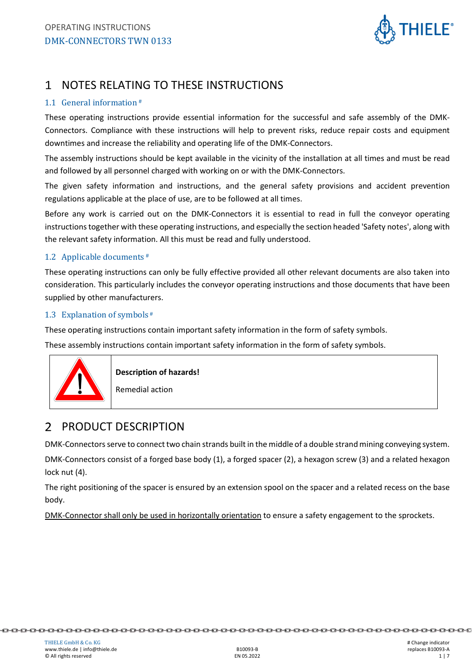

## 1 NOTES RELATING TO THESE INSTRUCTIONS

#### 1.1 General information #

These operating instructions provide essential information for the successful and safe assembly of the DMK-Connectors. Compliance with these instructions will help to prevent risks, reduce repair costs and equipment downtimes and increase the reliability and operating life of the DMK-Connectors.

The assembly instructions should be kept available in the vicinity of the installation at all times and must be read and followed by all personnel charged with working on or with the DMK-Connectors.

The given safety information and instructions, and the general safety provisions and accident prevention regulations applicable at the place of use, are to be followed at all times.

Before any work is carried out on the DMK-Connectors it is essential to read in full the conveyor operating instructions together with these operating instructions, and especially the section headed 'Safety notes', along with the relevant safety information. All this must be read and fully understood.

#### 1.2 Applicable documents #

These operating instructions can only be fully effective provided all other relevant documents are also taken into consideration. This particularly includes the conveyor operating instructions and those documents that have been supplied by other manufacturers.

#### 1.3 Explanation of symbols #

These operating instructions contain important safety information in the form of safety symbols.

These assembly instructions contain important safety information in the form of safety symbols.



**Description of hazards!** 

Remedial action

#### PRODUCT DESCRIPTION  $\mathcal{P}$

DMK-Connectors serve to connect two chain strands built in the middle of a double strand mining conveying system. DMK-Connectors consist of a forged base body (1), a forged spacer (2), a hexagon screw (3) and a related hexagon lock nut (4).

The right positioning of the spacer is ensured by an extension spool on the spacer and a related recess on the base body.

DMK-Connector shall only be used in horizontally orientation to ensure a safety engagement to the sprockets.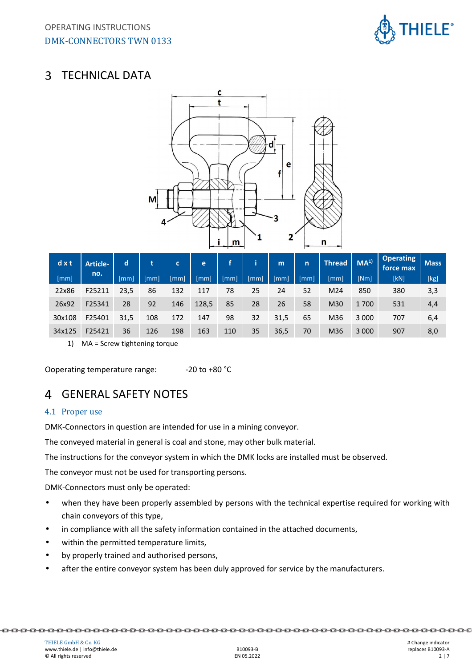

#### $\mathbf{3}$ TECHNICAL DATA



| dx     | <b>Article-</b> | d    | t    | C   | e     |      |      | m    | n  | <b>Thread</b> | MA <sup>1</sup> | <b>Operating</b><br>force max. | <b>Mass</b> |
|--------|-----------------|------|------|-----|-------|------|------|------|----|---------------|-----------------|--------------------------------|-------------|
| [mm]   | no.             | mm   | Imml | mm  | [mm]  | [mm] | [mm] | mm   | mm | [mm]          | [Nm]            | [kN]                           | [kg]        |
| 22x86  | F25211          | 23,5 | 86   | 132 | 117   | 78   | 25   | 24   | 52 | M24           | 850             | 380                            | 3,3         |
| 26x92  | F25341          | 28   | 92   | 146 | 128,5 | 85   | 28   | 26   | 58 | M30           | 1700            | 531                            | 4,4         |
| 30x108 | F25401          | 31,5 | 108  | 172 | 147   | 98   | 32   | 31,5 | 65 | M36           | 3 0 0 0         | 707                            | 6,4         |
| 34x125 | F25421          | 36   | 126  | 198 | 163   | 110  | 35   | 36,5 | 70 | M36           | 3 0 0 0         | 907                            | 8,0         |

1) MA = Screw tightening torque

Ooperating temperature range: -20 to +80 °C

# GENERAL SAFETY NOTES

#### 4.1 Proper use

DMK-Connectors in question are intended for use in a mining conveyor.

The conveyed material in general is coal and stone, may other bulk material.

The instructions for the conveyor system in which the DMK locks are installed must be observed.

The conveyor must not be used for transporting persons.

DMK-Connectors must only be operated:

- when they have been properly assembled by persons with the technical expertise required for working with chain conveyors of this type,
- in compliance with all the safety information contained in the attached documents,
- within the permitted temperature limits,
- by properly trained and authorised persons,
- after the entire conveyor system has been duly approved for service by the manufacturers.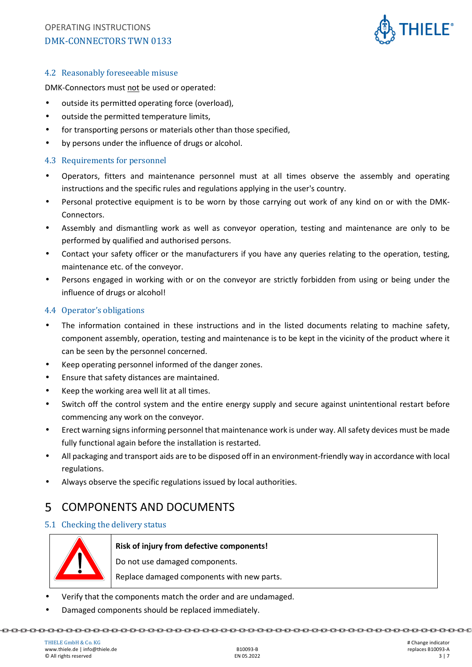

#### 4.2 Reasonably foreseeable misuse

DMK-Connectors must not be used or operated:

- outside its permitted operating force (overload),
- outside the permitted temperature limits,
- for transporting persons or materials other than those specified,
- by persons under the influence of drugs or alcohol.

#### 4.3 Requirements for personnel

- Operators, fitters and maintenance personnel must at all times observe the assembly and operating instructions and the specific rules and regulations applying in the user's country.
- Personal protective equipment is to be worn by those carrying out work of any kind on or with the DMK-Connectors.
- Assembly and dismantling work as well as conveyor operation, testing and maintenance are only to be performed by qualified and authorised persons.
- Contact your safety officer or the manufacturers if you have any queries relating to the operation, testing, maintenance etc. of the conveyor.
- Persons engaged in working with or on the conveyor are strictly forbidden from using or being under the influence of drugs or alcohol!

#### 4.4 Operator's obligations

- The information contained in these instructions and in the listed documents relating to machine safety, component assembly, operation, testing and maintenance is to be kept in the vicinity of the product where it can be seen by the personnel concerned.
- Keep operating personnel informed of the danger zones.
- Ensure that safety distances are maintained.
- Keep the working area well lit at all times.
- Switch off the control system and the entire energy supply and secure against unintentional restart before commencing any work on the conveyor.
- Erect warning signs informing personnel that maintenance work is under way. All safety devices must be made fully functional again before the installation is restarted.
- All packaging and transport aids are to be disposed off in an environment-friendly way in accordance with local regulations.
- Always observe the specific regulations issued by local authorities.

## 5 COMPONENTS AND DOCUMENTS

#### 5.1 Checking the delivery status



**Risk of injury from defective components!** 

Do not use damaged components.

Replace damaged components with new parts.

- Verify that the components match the order and are undamaged.
- Damaged components should be replaced immediately.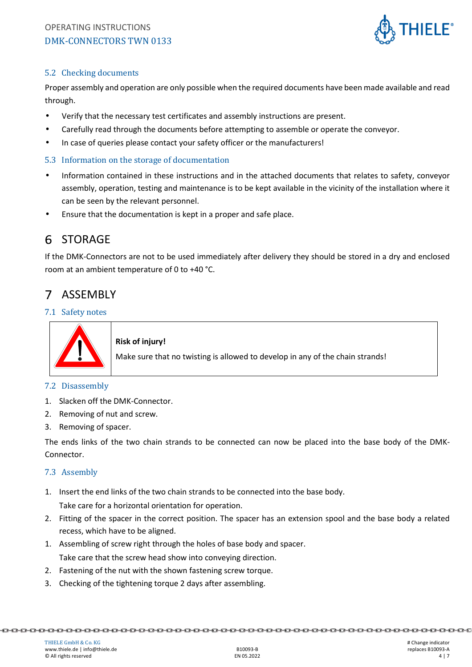

### 5.2 Checking documents

Proper assembly and operation are only possible when the required documents have been made available and read through.

- Verify that the necessary test certificates and assembly instructions are present.
- Carefully read through the documents before attempting to assemble or operate the conveyor.
- In case of queries please contact your safety officer or the manufacturers!

### 5.3 Information on the storage of documentation

- Information contained in these instructions and in the attached documents that relates to safety, conveyor assembly, operation, testing and maintenance is to be kept available in the vicinity of the installation where it can be seen by the relevant personnel.
- Ensure that the documentation is kept in a proper and safe place.

# 6 STORAGE

If the DMK-Connectors are not to be used immediately after delivery they should be stored in a dry and enclosed room at an ambient temperature of 0 to +40 °C.

#### 7 ASSEMBLY

#### 7.1 Safety notes



#### **Risk of injury!**

Make sure that no twisting is allowed to develop in any of the chain strands!

#### 7.2 Disassembly

- 1. Slacken off the DMK-Connector.
- 2. Removing of nut and screw.
- 3. Removing of spacer.

The ends links of the two chain strands to be connected can now be placed into the base body of the DMK-Connector.

#### 7.3 Assembly

1. Insert the end links of the two chain strands to be connected into the base body.

Take care for a horizontal orientation for operation.

- 2. Fitting of the spacer in the correct position. The spacer has an extension spool and the base body a related recess, which have to be aligned.
- 1. Assembling of screw right through the holes of base body and spacer.

Take care that the screw head show into conveying direction.

- 2. Fastening of the nut with the shown fastening screw torque.
- 3. Checking of the tightening torque 2 days after assembling.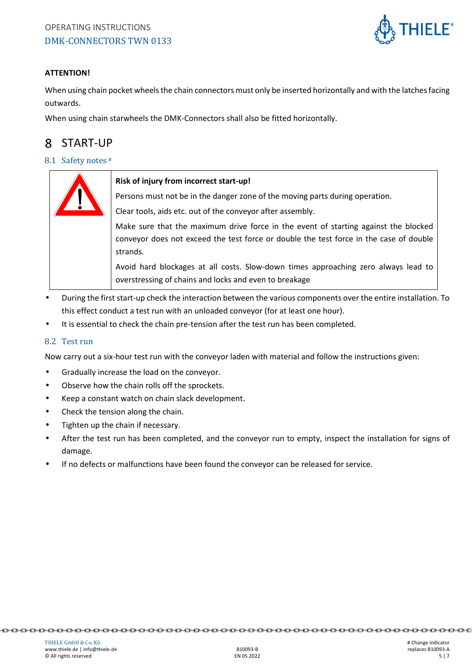

#### **ATTENTION!**

When using chain pocket wheels the chain connectors must only be inserted horizontally and with the latches facing outwards.

When using chain starwheels the DMK-Connectors shall also be fitted horizontally.

#### START-UP 8

#### 8.1 Safety notes #



#### **Risk of injury from incorrect start-up!**

Persons must not be in the danger zone of the moving parts during operation.

Clear tools, aids etc. out of the conveyor after assembly.

Make sure that the maximum drive force in the event of starting against the blocked conveyor does not exceed the test force or double the test force in the case of double strands.

Avoid hard blockages at all costs. Slow-down times approaching zero always lead to overstressing of chains and locks and even to breakage

- During the first start-up check the interaction between the various components over the entire installation. To this effect conduct a test run with an unloaded conveyor (for at least one hour).
- It is essential to check the chain pre-tension after the test run has been completed.

#### 8.2 Test run

Now carry out a six-hour test run with the conveyor laden with material and follow the instructions given:

- Gradually increase the load on the conveyor.
- Observe how the chain rolls off the sprockets.
- Keep a constant watch on chain slack development.
- Check the tension along the chain.
- Tighten up the chain if necessary.
- After the test run has been completed, and the conveyor run to empty, inspect the installation for signs of damage.
- If no defects or malfunctions have been found the conveyor can be released for service.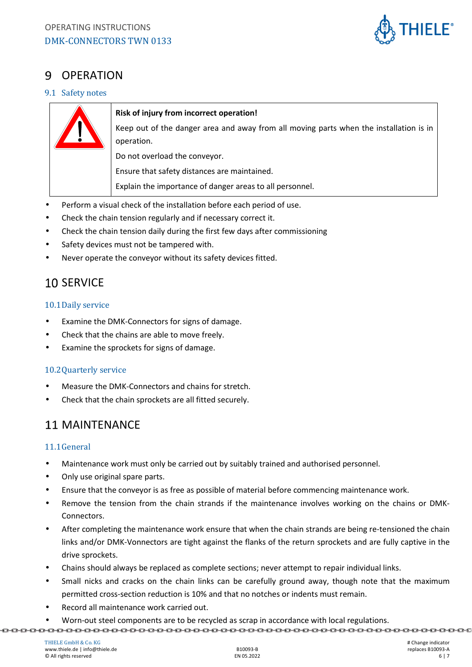

## 9 OPERATION

#### 9.1 Safety notes



#### **Risk of injury from incorrect operation!**

Keep out of the danger area and away from all moving parts when the installation is in operation.

Do not overload the conveyor.

Ensure that safety distances are maintained.

Explain the importance of danger areas to all personnel.

- Perform a visual check of the installation before each period of use.
- Check the chain tension regularly and if necessary correct it.
- Check the chain tension daily during the first few days after commissioning
- Safety devices must not be tampered with.
- Never operate the conveyor without its safety devices fitted.

# 10 SERVICE

#### 10.1Daily service

- Examine the DMK-Connectors for signs of damage.
- Check that the chains are able to move freely.
- Examine the sprockets for signs of damage.

### 10.2Quarterly service

- Measure the DMK-Connectors and chains for stretch.
- Check that the chain sprockets are all fitted securely.

## 11 MAINTENANCE

### 11.1General

- Maintenance work must only be carried out by suitably trained and authorised personnel.
- Only use original spare parts.
- Ensure that the conveyor is as free as possible of material before commencing maintenance work.
- Remove the tension from the chain strands if the maintenance involves working on the chains or DMK-Connectors.
- After completing the maintenance work ensure that when the chain strands are being re-tensioned the chain links and/or DMK-Vonnectors are tight against the flanks of the return sprockets and are fully captive in the drive sprockets.
- Chains should always be replaced as complete sections; never attempt to repair individual links.
- Small nicks and cracks on the chain links can be carefully ground away, though note that the maximum permitted cross-section reduction is 10% and that no notches or indents must remain.
- Record all maintenance work carried out.
- Worn-out steel components are to be recycled as scrap in accordance with local regulations.